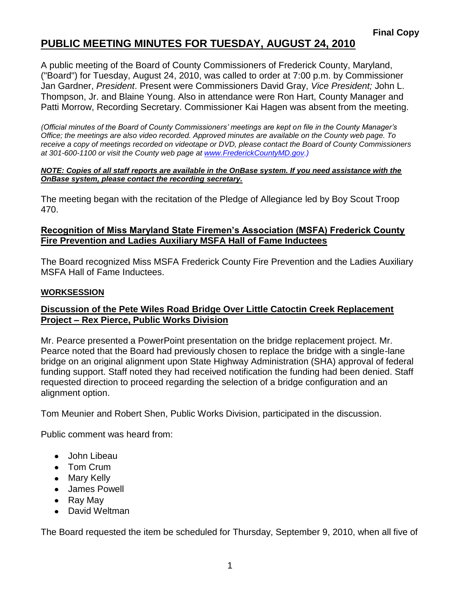## **PUBLIC MEETING MINUTES FOR TUESDAY, AUGUST 24, 2010**

A public meeting of the Board of County Commissioners of Frederick County, Maryland, ("Board") for Tuesday, August 24, 2010, was called to order at 7:00 p.m. by Commissioner Jan Gardner, *President*. Present were Commissioners David Gray, *Vice President;* John L. Thompson, Jr. and Blaine Young. Also in attendance were Ron Hart, County Manager and Patti Morrow, Recording Secretary. Commissioner Kai Hagen was absent from the meeting.

*(Official minutes of the Board of County Commissioners' meetings are kept on file in the County Manager's Office; the meetings are also video recorded. Approved minutes are available on the County web page. To receive a copy of meetings recorded on videotape or DVD, please contact the Board of County Commissioners at 301-600-1100 or visit the County web page at [www.FrederickCountyMD.gov.\)](http://www.frederickcountymd.gov.)/)*

#### *NOTE: Copies of all staff reports are available in the OnBase system. If you need assistance with the OnBase system, please contact the recording secretary.*

The meeting began with the recitation of the Pledge of Allegiance led by Boy Scout Troop 470.

### **Recognition of Miss Maryland State Firemen's Association (MSFA) Frederick County Fire Prevention and Ladies Auxiliary MSFA Hall of Fame Inductees**

The Board recognized Miss MSFA Frederick County Fire Prevention and the Ladies Auxiliary MSFA Hall of Fame Inductees.

#### **WORKSESSION**

#### **Discussion of the Pete Wiles Road Bridge Over Little Catoctin Creek Replacement Project – Rex Pierce, Public Works Division**

Mr. Pearce presented a PowerPoint presentation on the bridge replacement project. Mr. Pearce noted that the Board had previously chosen to replace the bridge with a single-lane bridge on an original alignment upon State Highway Administration (SHA) approval of federal funding support. Staff noted they had received notification the funding had been denied. Staff requested direction to proceed regarding the selection of a bridge configuration and an alignment option.

Tom Meunier and Robert Shen, Public Works Division, participated in the discussion.

Public comment was heard from:

- John Libeau
- Tom Crum
- Mary Kelly
- James Powell
- Ray May
- David Weltman

The Board requested the item be scheduled for Thursday, September 9, 2010, when all five of